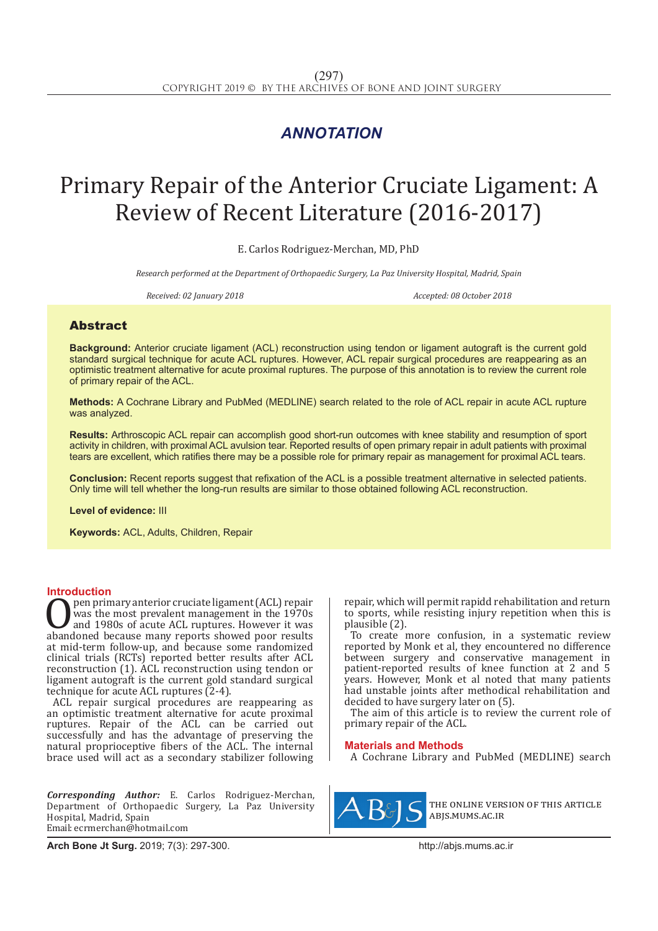## *ANNOTATION*

# Primary Repair of the Anterior Cruciate Ligament: A Review of Recent Literature (2016-2017)

E. Carlos Rodriguez-Merchan, MD, PhD

*Research performed at the Department of Orthopaedic Surgery, La Paz University Hospital, Madrid, Spain*

*Received: 02 January 2018 Accepted: 08 October 2018*

### Abstract

**Background:** Anterior cruciate ligament (ACL) reconstruction using tendon or ligament autograft is the current gold standard surgical technique for acute ACL ruptures. However, ACL repair surgical procedures are reappearing as an optimistic treatment alternative for acute proximal ruptures. The purpose of this annotation is to review the current role of primary repair of the ACL.

**Methods:** A Cochrane Library and PubMed (MEDLINE) search related to the role of ACL repair in acute ACL rupture was analyzed.

**Results:** Arthroscopic ACL repair can accomplish good short-run outcomes with knee stability and resumption of sport activity in children, with proximal ACL avulsion tear. Reported results of open primary repair in adult patients with proximal tears are excellent, which ratifies there may be a possible role for primary repair as management for proximal ACL tears.

**Conclusion:** Recent reports suggest that refixation of the ACL is a possible treatment alternative in selected patients. Only time will tell whether the long-run results are similar to those obtained following ACL reconstruction.

**Level of evidence:** III

**Keywords:** ACL, Adults, Children, Repair

**Introduction**<br>pen primary anterior cruciate ligament (ACL) repair **OPEN primary anterior cruciate ligament (ACL) repair**<br>was the most prevalent management in the 1970s<br>and 1980s of acute ACL ruptures. However it was<br>abandoned because many reports showed poor results<br>at mid-term follow-up was the most prevalent management in the 1970s and 1980s of acute ACL ruptures. However it was abandoned because many reports showed poor results at mid-term follow-up, and because some randomized clinical trials (RCTs) reported better results after ACL reconstruction (1). ACL reconstruction using tendon or ligament autograft is the current gold standard surgical technique for acute ACL ruptures (2-4).

ACL repair surgical procedures are reappearing as an optimistic treatment alternative for acute proximal ruptures. Repair of the ACL can be carried out successfully and has the advantage of preserving the natural proprioceptive fibers of the ACL. The internal brace used will act as a secondary stabilizer following

*Corresponding Author:* E. Carlos Rodriguez-Merchan, Department of Orthopaedic Surgery, La Paz University Hospital, Madrid, Spain Email: ecrmerchan@hotmail.com

repair, which will permit rapidd rehabilitation and return to sports, while resisting injury repetition when this is plausible (2).

To create more confusion, in a systematic review reported by Monk et al, they encountered no difference between surgery and conservative management in patient-reported results of knee function at 2 and 5 years. However, Monk et al noted that many patients had unstable joints after methodical rehabilitation and decided to have surgery later on (5).

The aim of this article is to review the current role of primary repair of the ACL.

#### **Materials and Methods**

A Cochrane Library and PubMed (MEDLINE) search



the online version of this article abjs.mums.ac.ir

**Arch Bone Jt Surg.** 2019; 7(3): 297-300.http://abjs.mums.ac.ir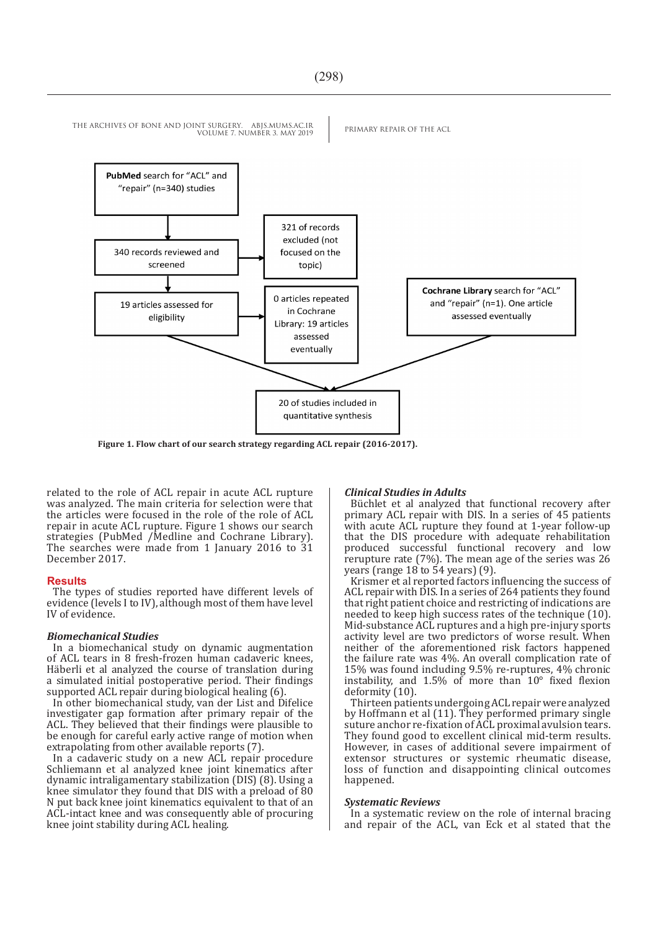

**Figure 1. Flow chart of our search strategy regarding ACL repair (2016-2017).** 

related to the role of ACL repair in acute ACL rupture was analyzed. The main criteria for selection were that the articles were focused in the role of the role of ACL repair in acute ACL rupture. Figure 1 shows our search strategies (PubMed /Medline and Cochrane Library). The searches were made from 1 January 2016 to 31 December 2017.

#### **Results**

The types of studies reported have different levels of evidence (levels I to IV), although most of them have level IV of evidence.

#### *Biomechanical Studies*

In a biomechanical study on dynamic augmentation of ACL tears in 8 fresh-frozen human cadaveric knees, Häberli et al analyzed the course of translation during a simulated initial postoperative period. Their findings supported ACL repair during biological healing (6).

In other biomechanical study, van der List and Difelice investigater gap formation after primary repair of the ACL. They believed that their findings were plausible to be enough for careful early active range of motion when extrapolating from other available reports (7).

In a cadaveric study on a new ACL repair procedure Schliemann et al analyzed knee joint kinematics after dynamic intraligamentary stabilization (DIS) (8). Using a knee simulator they found that DIS with a preload of 80 N put back knee joint kinematics equivalent to that of an ACL-intact knee and was consequently able of procuring knee joint stability during ACL healing.

#### *Clinical Studies in Adults*

Büchlet et al analyzed that functional recovery after primary ACL repair with DIS. In a series of 45 patients with acute ACL rupture they found at 1-year follow-up that the DIS procedure with adequate rehabilitation produced successful functional recovery and low rerupture rate (7%). The mean age of the series was 26 years (range 18 to 54 years) (9).

Krismer et al reported factors influencing the success of ACL repair with DIS. In a series of 264 patients they found that right patient choice and restricting of indications are needed to keep high success rates of the technique (10). Mid-substance ACL ruptures and a high pre-injury sports activity level are two predictors of worse result. When neither of the aforementioned risk factors happened the failure rate was 4%. An overall complication rate of 15% was found including 9.5% re-ruptures, 4% chronic instability, and 1.5% of more than 10° fixed flexion deformity (10).

Thirteen patients undergoing ACL repair were analyzed by Hoffmann et al (11). They performed primary single suture anchor re-fixation of ACL proximal avulsion tears. They found good to excellent clinical mid-term results. However, in cases of additional severe impairment of extensor structures or systemic rheumatic disease, loss of function and disappointing clinical outcomes happened.

#### *Systematic Reviews*

In a systematic review on the role of internal bracing and repair of the ACL, van Eck et al stated that the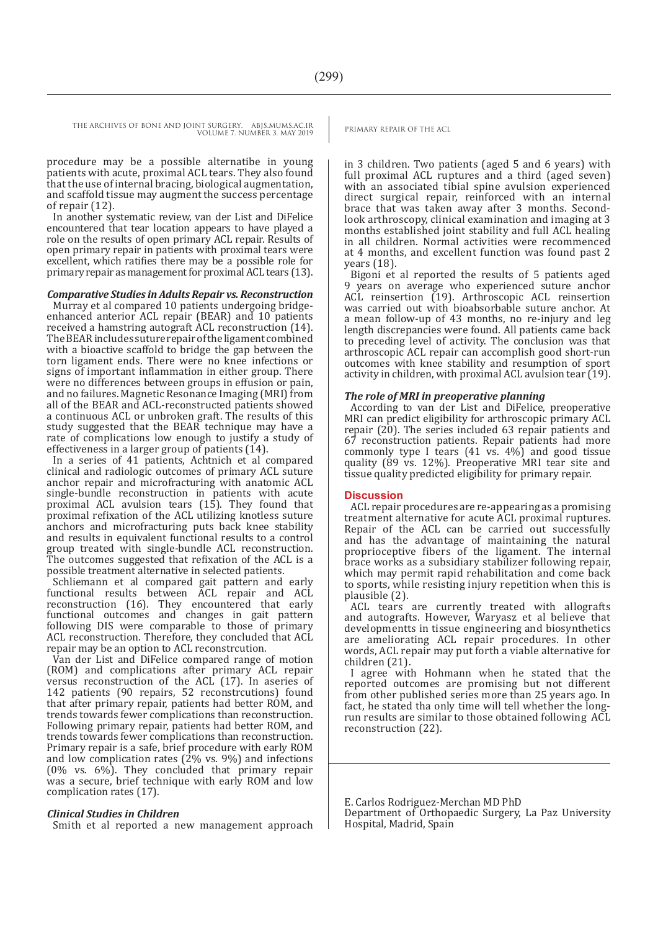THE ARCHIVES OF BONE AND JOINT SURGERY. ABJS.MUMS.AC.IR PRIMARY REPAIR OF THE ACL

VOLUME 7. NUMBER 3. MAY 2019

procedure may be a possible alternatibe in young patients with acute, proximal ACL tears. They also found that the use of internal bracing, biological augmentation, and scaffold tissue may augment the success percentage of repair (12).

In another systematic review, van der List and DiFelice encountered that tear location appears to have played a role on the results of open primary ACL repair. Results of open primary repair in patients with proximal tears were excellent, which ratifies there may be a possible role for primary repair as management for proximal ACL tears (13).

#### *Comparative Studies in Adults Repair vs. Reconstruction*

Murray et al compared 10 patients undergoing bridgeenhanced anterior ACL repair (BEAR) and 10 patients received a hamstring autograft ACL reconstruction (14). The BEAR includes suture repair of the ligament combined with a bioactive scaffold to bridge the gap between the torn ligament ends. There were no knee infections or signs of important inflammation in either group. There were no differences between groups in effusion or pain, and no failures. Magnetic Resonance Imaging (MRI) from all of the BEAR and ACL-reconstructed patients showed a continuous ACL or unbroken graft. The results of this study suggested that the BEAR technique may have a rate of complications low enough to justify a study of effectiveness in a larger group of patients (14).

In a series of 41 patients, Achtnich et al compared clinical and radiologic outcomes of primary ACL suture anchor repair and microfracturing with anatomic ACL single-bundle reconstruction in patients with acute proximal ACL avulsion tears (15). They found that proximal refixation of the ACL utilizing knotless suture anchors and microfracturing puts back knee stability and results in equivalent functional results to a control group treated with single-bundle ACL reconstruction. The outcomes suggested that refixation of the ACL is a possible treatment alternative in selected patients.

Schliemann et al compared gait pattern and early functional results between ACL repair and ACL reconstruction (16). They encountered that early functional outcomes and changes in gait pattern following DIS were comparable to those of primary ACL reconstruction. Therefore, they concluded that ACL repair may be an option to ACL reconstrcution.

Van der List and DiFelice compared range of motion (ROM) and complications after primary ACL repair versus reconstruction of the ACL (17). In aseries of 142 patients (90 repairs, 52 reconstrcutions) found that after primary repair, patients had better ROM, and trends towards fewer complications than reconstruction. Following primary repair, patients had better ROM, and trends towards fewer complications than reconstruction. Primary repair is a safe, brief procedure with early ROM and low complication rates (2% vs. 9%) and infections (0% vs. 6%). They concluded that primary repair was a secure, brief technique with early ROM and low complication rates (17).

#### *Clinical Studies in Children*

Smith et al reported a new management approach

in 3 children. Two patients (aged 5 and 6 years) with full proximal ACL ruptures and a third (aged seven) with an associated tibial spine avulsion experienced direct surgical repair, reinforced with an internal brace that was taken away after 3 months. Secondlook arthroscopy, clinical examination and imaging at 3 months established joint stability and full ACL healing in all children. Normal activities were recommenced at 4 months, and excellent function was found past 2 years (18).

Bigoni et al reported the results of 5 patients aged 9 years on average who experienced suture anchor ACL reinsertion (19). Arthroscopic ACL reinsertion was carried out with bioabsorbable suture anchor. At a mean follow-up of 43 months, no re-injury and leg length discrepancies were found. All patients came back to preceding level of activity. The conclusion was that arthroscopic ACL repair can accomplish good short-run outcomes with knee stability and resumption of sport activity in children, with proximal ACL avulsion tear (19).

#### *The role of MRI in preoperative planning*

According to van der List and DiFelice, preoperative MRI can predict eligibility for arthroscopic primary ACL repair (20). The series included 63 repair patients and 67 reconstruction patients. Repair patients had more commonly type I tears  $(41 \text{ vs. } 4\%)$  and good tissue quality (89 vs. 12%). Preoperative MRI tear site and tissue quality predicted eligibility for primary repair.

#### **Discussion**

ACL repair procedures are re-appearing as a promising treatment alternative for acute ACL proximal ruptures. Repair of the ACL can be carried out successfully and has the advantage of maintaining the natural proprioceptive fibers of the ligament. The internal brace works as a subsidiary stabilizer following repair, which may permit rapid rehabilitation and come back to sports, while resisting injury repetition when this is plausible (2).

ACL tears are currently treated with allografts and autografts. However, Waryasz et al believe that developmentts in tissue engineering and biosynthetics are ameliorating ACL repair procedures. In other words, ACL repair may put forth a viable alternative for children (21).

I agree with Hohmann when he stated that the reported outcomes are promising but not different from other published series more than 25 years ago. In fact, he stated tha only time will tell whether the longrun results are similar to those obtained following ACL reconstruction (22).

E. Carlos Rodriguez-Merchan MD PhD

Department of Orthopaedic Surgery, La Paz University Hospital, Madrid, Spain